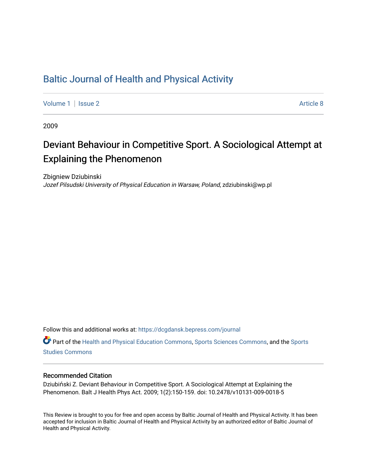## [Baltic Journal of Health and Physical Activity](https://dcgdansk.bepress.com/journal)

[Volume 1](https://dcgdansk.bepress.com/journal/vol1) | [Issue 2](https://dcgdansk.bepress.com/journal/vol1/iss2) Article 8

2009

# Deviant Behaviour in Competitive Sport. A Sociological Attempt at Explaining the Phenomenon

Zbigniew Dziubinski Jozef Pilsudski University of Physical Education in Warsaw, Poland, zdziubinski@wp.pl

Follow this and additional works at: [https://dcgdansk.bepress.com/journal](https://dcgdansk.bepress.com/journal?utm_source=dcgdansk.bepress.com%2Fjournal%2Fvol1%2Fiss2%2F8&utm_medium=PDF&utm_campaign=PDFCoverPages)

Part of the [Health and Physical Education Commons](http://network.bepress.com/hgg/discipline/1327?utm_source=dcgdansk.bepress.com%2Fjournal%2Fvol1%2Fiss2%2F8&utm_medium=PDF&utm_campaign=PDFCoverPages), [Sports Sciences Commons](http://network.bepress.com/hgg/discipline/759?utm_source=dcgdansk.bepress.com%2Fjournal%2Fvol1%2Fiss2%2F8&utm_medium=PDF&utm_campaign=PDFCoverPages), and the [Sports](http://network.bepress.com/hgg/discipline/1198?utm_source=dcgdansk.bepress.com%2Fjournal%2Fvol1%2Fiss2%2F8&utm_medium=PDF&utm_campaign=PDFCoverPages)  [Studies Commons](http://network.bepress.com/hgg/discipline/1198?utm_source=dcgdansk.bepress.com%2Fjournal%2Fvol1%2Fiss2%2F8&utm_medium=PDF&utm_campaign=PDFCoverPages) 

#### Recommended Citation

Dziubiński Z. Deviant Behaviour in Competitive Sport. A Sociological Attempt at Explaining the Phenomenon. Balt J Health Phys Act. 2009; 1(2):150-159. doi: 10.2478/v10131-009-0018-5

This Review is brought to you for free and open access by Baltic Journal of Health and Physical Activity. It has been accepted for inclusion in Baltic Journal of Health and Physical Activity by an authorized editor of Baltic Journal of Health and Physical Activity.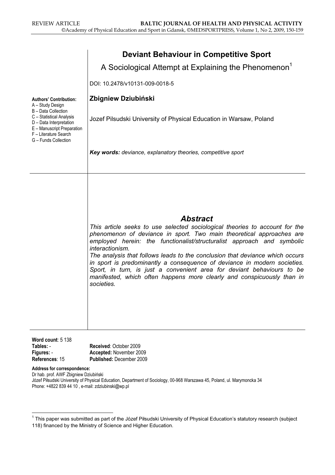|                                                                                                                                                                                                                | <b>Deviant Behaviour in Competitive Sport</b>                                                                                                                                                                                                                                                                                                                                                                                                                                                                                                                                                     |
|----------------------------------------------------------------------------------------------------------------------------------------------------------------------------------------------------------------|---------------------------------------------------------------------------------------------------------------------------------------------------------------------------------------------------------------------------------------------------------------------------------------------------------------------------------------------------------------------------------------------------------------------------------------------------------------------------------------------------------------------------------------------------------------------------------------------------|
|                                                                                                                                                                                                                | A Sociological Attempt at Explaining the Phenomenon <sup>1</sup><br>DOI: 10.2478/v10131-009-0018-5                                                                                                                                                                                                                                                                                                                                                                                                                                                                                                |
| <b>Authors' Contribution:</b><br>A - Study Design<br>B - Data Collection<br>C - Statistical Analysis<br>D - Data Interpretation<br>E - Manuscript Preparation<br>F - Literature Search<br>G - Funds Collection | Zbigniew Dziubiński                                                                                                                                                                                                                                                                                                                                                                                                                                                                                                                                                                               |
|                                                                                                                                                                                                                | Jozef Pilsudski University of Physical Education in Warsaw, Poland                                                                                                                                                                                                                                                                                                                                                                                                                                                                                                                                |
|                                                                                                                                                                                                                | Key words: deviance, explanatory theories, competitive sport                                                                                                                                                                                                                                                                                                                                                                                                                                                                                                                                      |
|                                                                                                                                                                                                                | <b>Abstract</b><br>This article seeks to use selected sociological theories to account for the<br>phenomenon of deviance in sport. Two main theoretical approaches are<br>employed herein: the functionalist/structuralist approach and symbolic<br>interactionism.<br>The analysis that follows leads to the conclusion that deviance which occurs<br>in sport is predominantly a consequence of deviance in modern societies.<br>Sport, in turn, is just a convenient area for deviant behaviours to be<br>manifested, which often happens more clearly and conspicuously than in<br>societies. |
| $Mont$ count: $5,138$                                                                                                                                                                                          |                                                                                                                                                                                                                                                                                                                                                                                                                                                                                                                                                                                                   |

| Word count: $5138$ |                                 |
|--------------------|---------------------------------|
| Tables: -          | Received: October 2009          |
| Figures: -         | Accepted: November 2009         |
| References: 15     | <b>Published: December 2009</b> |

Address for correspondence:

Dr hab. prof. AWF Zbigniew Dziubiński Józef Piłsudski University of Physical Education, Department of Sociology, 00-968 Warszawa 45, Poland, ul. Marymoncka 34 Phone: +4822 839 44 10 , e-mail: zdziubinski@wp.pl

 $^{\text{1}}$  This paper was submitted as part of the Józef Piłsudski University of Physical Education's statutory research (subject 118) financed by the Ministry of Science and Higher Education.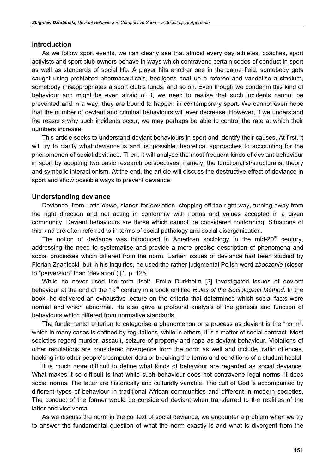### Introduction

As we follow sport events, we can clearly see that almost every day athletes, coaches, sport activists and sport club owners behave in ways which contravene certain codes of conduct in sport as well as standards of social life. A player hits another one in the game field, somebody gets caught using prohibited pharmaceuticals, hooligans beat up a referee and vandalise a stadium, somebody misappropriates a sport club's funds, and so on. Even though we condemn this kind of behaviour and might be even afraid of it, we need to realise that such incidents cannot be prevented and in a way, they are bound to happen in contemporary sport. We cannot even hope that the number of deviant and criminal behaviours will ever decrease. However, if we understand the reasons why such incidents occur, we may perhaps be able to control the rate at which their numbers increase.

This article seeks to understand deviant behaviours in sport and identify their causes. At first, it will try to clarify what deviance is and list possible theoretical approaches to accounting for the phenomenon of social deviance. Then, it will analyse the most frequent kinds of deviant behaviour in sport by adopting two basic research perspectives, namely, the functionalist/structuralist theory and symbolic interactionism. At the end, the article will discuss the destructive effect of deviance in sport and show possible ways to prevent deviance.

#### Understanding deviance

Deviance, from Latin *devio*, stands for deviation, stepping off the right way, turning away from the right direction and not acting in conformity with norms and values accepted in a given community. Deviant behaviours are those which cannot be considered conforming. Situations of this kind are often referred to in terms of social pathology and social disorganisation.

The notion of deviance was introduced in American sociology in the mid-20<sup>th</sup> century, addressing the need to systematise and provide a more precise description of phenomena and social processes which differed from the norm. Earlier, issues of deviance had been studied by Florian Znaniecki, but in his inquiries, he used the rather judgmental Polish word zboczenie (closer to "perversion" than "deviation") [1, p. 125].

While he never used the term itself, Emile Durkheim [2] investigated issues of deviant behaviour at the end of the 19<sup>th</sup> century in a book entitled Rules of the Sociological Method. In the book, he delivered an exhaustive lecture on the criteria that determined which social facts were normal and which abnormal. He also gave a profound analysis of the genesis and function of behaviours which differed from normative standards.

The fundamental criterion to categorise a phenomenon or a process as deviant is the "norm", which in many cases is defined by regulations, while in others, it is a matter of social contract. Most societies regard murder, assault, seizure of property and rape as deviant behaviour. Violations of other regulations are considered divergence from the norm as well and include traffic offences, hacking into other people's computer data or breaking the terms and conditions of a student hostel.

It is much more difficult to define what kinds of behaviour are regarded as social deviance. What makes it so difficult is that while such behaviour does not contravene legal norms, it does social norms. The latter are historically and culturally variable. The cult of God is accompanied by different types of behaviour in traditional African communities and different in modern societies. The conduct of the former would be considered deviant when transferred to the realities of the latter and vice versa.

As we discuss the norm in the context of social deviance, we encounter a problem when we try to answer the fundamental question of what the norm exactly is and what is divergent from the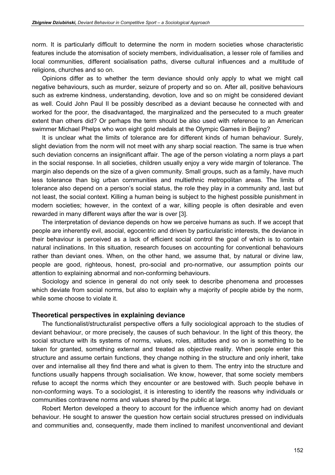norm. It is particularly difficult to determine the norm in modern societies whose characteristic features include the atomisation of society members, individualisation, a lesser role of families and local communities, different socialisation paths, diverse cultural influences and a multitude of religions, churches and so on.

Opinions differ as to whether the term deviance should only apply to what we might call negative behaviours, such as murder, seizure of property and so on. After all, positive behaviours such as extreme kindness, understanding, devotion, love and so on might be considered deviant as well. Could John Paul II be possibly described as a deviant because he connected with and worked for the poor, the disadvantaged, the marginalized and the persecuted to a much greater extent than others did? Or perhaps the term should be also used with reference to an American swimmer Michael Phelps who won eight gold medals at the Olympic Games in Beijing?

It is unclear what the limits of tolerance are for different kinds of human behaviour. Surely, slight deviation from the norm will not meet with any sharp social reaction. The same is true when such deviation concerns an insignificant affair. The age of the person violating a norm plays a part in the social response. In all societies, children usually enjoy a very wide margin of tolerance. The margin also depends on the size of a given community. Small groups, such as a family, have much less tolerance than big urban communities and multiethnic metropolitan areas. The limits of tolerance also depend on a person's social status, the role they play in a community and, last but not least, the social context. Killing a human being is subject to the highest possible punishment in modern societies; however, in the context of a war, killing people is often desirable and even rewarded in many different ways after the war is over [3].

The interpretation of deviance depends on how we perceive humans as such. If we accept that people are inherently evil, asocial, egocentric and driven by particularistic interests, the deviance in their behaviour is perceived as a lack of efficient social control the goal of which is to contain natural inclinations. In this situation, research focuses on accounting for conventional behaviours rather than deviant ones. When, on the other hand, we assume that, by natural or divine law, people are good, righteous, honest, pro-social and pro-normative, our assumption points our attention to explaining abnormal and non-conforming behaviours.

Sociology and science in general do not only seek to describe phenomena and processes which deviate from social norms, but also to explain why a majority of people abide by the norm, while some choose to violate it.

### Theoretical perspectives in explaining deviance

The functionalist/structuralist perspective offers a fully sociological approach to the studies of deviant behaviour, or more precisely, the causes of such behaviour. In the light of this theory, the social structure with its systems of norms, values, roles, attitudes and so on is something to be taken for granted, something external and treated as objective reality. When people enter this structure and assume certain functions, they change nothing in the structure and only inherit, take over and internalise all they find there and what is given to them. The entry into the structure and functions usually happens through socialisation. We know, however, that some society members refuse to accept the norms which they encounter or are bestowed with. Such people behave in non-conforming ways. To a sociologist, it is interesting to identify the reasons why individuals or communities contravene norms and values shared by the public at large.

Robert Merton developed a theory to account for the influence which anomy had on deviant behaviour. He sought to answer the question how certain social structures pressed on individuals and communities and, consequently, made them inclined to manifest unconventional and deviant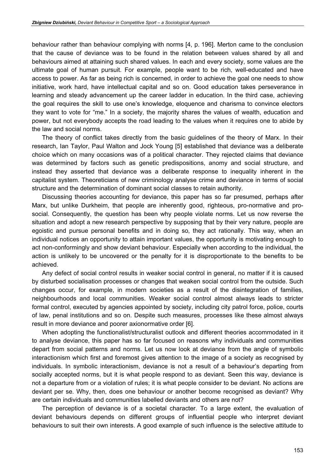behaviour rather than behaviour complying with norms [4, p. 196]. Merton came to the conclusion that the cause of deviance was to be found in the relation between values shared by all and behaviours aimed at attaining such shared values. In each and every society, some values are the ultimate goal of human pursuit. For example, people want to be rich, well-educated and have access to power. As far as being rich is concerned, in order to achieve the goal one needs to show initiative, work hard, have intellectual capital and so on. Good education takes perseverance in learning and steady advancement up the career ladder in education. In the third case, achieving the goal requires the skill to use one's knowledge, eloquence and charisma to convince electors they want to vote for "me." In a society, the majority shares the values of wealth, education and power, but not everybody accepts the road leading to the values when it requires one to abide by the law and social norms.

The theory of conflict takes directly from the basic guidelines of the theory of Marx. In their research, Ian Taylor, Paul Walton and Jock Young [5] established that deviance was a deliberate choice which on many occasions was of a political character. They rejected claims that deviance was determined by factors such as genetic predispositions, anomy and social structure, and instead they asserted that deviance was a deliberate response to inequality inherent in the capitalist system. Theoreticians of new criminology analyse crime and deviance in terms of social structure and the determination of dominant social classes to retain authority.

Discussing theories accounting for deviance, this paper has so far presumed, perhaps after Marx, but unlike Durkheim, that people are inherently good, righteous, pro-normative and prosocial. Consequently, the question has been why people violate norms. Let us now reverse the situation and adopt a new research perspective by supposing that by their very nature, people are egoistic and pursue personal benefits and in doing so, they act rationally. This way, when an individual notices an opportunity to attain important values, the opportunity is motivating enough to act non-conformingly and show deviant behaviour. Especially when according to the individual, the action is unlikely to be uncovered or the penalty for it is disproportionate to the benefits to be achieved.

Any defect of social control results in weaker social control in general, no matter if it is caused by disturbed socialisation processes or changes that weaken social control from the outside. Such changes occur, for example, in modern societies as a result of the disintegration of families, neighbourhoods and local communities. Weaker social control almost always leads to stricter formal control, executed by agencies appointed by society, including city patrol force, police, courts of law, penal institutions and so on. Despite such measures, processes like these almost always result in more deviance and poorer axionormative order [6].

When adopting the functionalist/structuralist outlook and different theories accommodated in it to analyse deviance, this paper has so far focused on reasons why individuals and communities depart from social patterns and norms. Let us now look at deviance from the angle of symbolic interactionism which first and foremost gives attention to the image of a society as recognised by individuals. In symbolic interactionism, deviance is not a result of a behaviour's departing from socially accepted norms, but it is what people respond to as deviant. Seen this way, deviance is not a departure from or a violation of rules; it is what people consider to be deviant. No actions are deviant per se. Why, then, does one behaviour or another become recognised as deviant? Why are certain individuals and communities labelled deviants and others are not?

The perception of deviance is of a societal character. To a large extent, the evaluation of deviant behaviours depends on different groups of influential people who interpret deviant behaviours to suit their own interests. A good example of such influence is the selective attitude to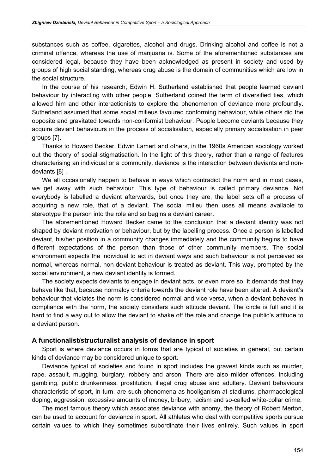substances such as coffee, cigarettes, alcohol and drugs. Drinking alcohol and coffee is not a criminal offence, whereas the use of marijuana is. Some of the aforementioned substances are considered legal, because they have been acknowledged as present in society and used by groups of high social standing, whereas drug abuse is the domain of communities which are low in the social structure.

In the course of his research, Edwin H. Sutherland established that people learned deviant behaviour by interacting with other people. Sutherland coined the term of diversified ties, which allowed him and other interactionists to explore the phenomenon of deviance more profoundly. Sutherland assumed that some social milieus favoured conforming behaviour, while others did the opposite and gravitated towards non-conformist behaviour. People become deviants because they acquire deviant behaviours in the process of socialisation, especially primary socialisation in peer groups [7].

Thanks to Howard Becker, Edwin Lamert and others, in the 1960s American sociology worked out the theory of social stigmatisation. In the light of this theory, rather than a range of features characterising an individual or a community, deviance is the interaction between deviants and nondeviants [8] .

We all occasionally happen to behave in ways which contradict the norm and in most cases, we get away with such behaviour. This type of behaviour is called primary deviance. Not everybody is labelled a deviant afterwards, but once they are, the label sets off a process of acquiring a new role, that of a deviant. The social milieu then uses all means available to stereotype the person into the role and so begins a deviant career.

The aforementioned Howard Becker came to the conclusion that a deviant identity was not shaped by deviant motivation or behaviour, but by the labelling process. Once a person is labelled deviant, his/her position in a community changes immediately and the community begins to have different expectations of the person than those of other community members. The social environment expects the individual to act in deviant ways and such behaviour is not perceived as normal, whereas normal, non-deviant behaviour is treated as deviant. This way, prompted by the social environment, a new deviant identity is formed.

The society expects deviants to engage in deviant acts, or even more so, it demands that they behave like that, because normalcy criteria towards the deviant role have been altered. A deviant's behaviour that violates the norm is considered normal and vice versa, when a deviant behaves in compliance with the norm, the society considers such attitude deviant. The circle is full and it is hard to find a way out to allow the deviant to shake off the role and change the public's attitude to a deviant person.

## A functionalist/structuralist analysis of deviance in sport

Sport is where deviance occurs in forms that are typical of societies in general, but certain kinds of deviance may be considered unique to sport.

Deviance typical of societies and found in sport includes the gravest kinds such as murder, rape, assault, mugging, burglary, robbery and arson. There are also milder offences, including gambling, public drunkenness, prostitution, illegal drug abuse and adultery. Deviant behaviours characteristic of sport, in turn, are such phenomena as hooliganism at stadiums, pharmacological doping, aggression, excessive amounts of money, bribery, racism and so-called white-collar crime.

The most famous theory which associates deviance with anomy, the theory of Robert Merton, can be used to account for deviance in sport. All athletes who deal with competitive sports pursue certain values to which they sometimes subordinate their lives entirely. Such values in sport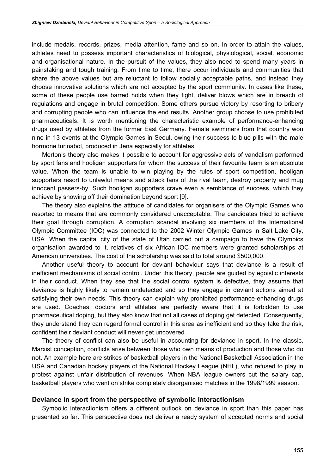include medals, records, prizes, media attention, fame and so on. In order to attain the values, athletes need to possess important characteristics of biological, physiological, social, economic and organisational nature. In the pursuit of the values, they also need to spend many years in painstaking and tough training. From time to time, there occur individuals and communities that share the above values but are reluctant to follow socially acceptable paths, and instead they choose innovative solutions which are not accepted by the sport community. In cases like these, some of these people use barred holds when they fight, deliver blows which are in breach of regulations and engage in brutal competition. Some others pursue victory by resorting to bribery and corrupting people who can influence the end results. Another group choose to use prohibited pharmaceuticals. It is worth mentioning the characteristic example of performance-enhancing drugs used by athletes from the former East Germany. Female swimmers from that country won nine in 13 events at the Olympic Games in Seoul, owing their success to blue pills with the male hormone turinabol, produced in Jena especially for athletes.

Merton's theory also makes it possible to account for aggressive acts of vandalism performed by sport fans and hooligan supporters for whom the success of their favourite team is an absolute value. When the team is unable to win playing by the rules of sport competition, hooligan supporters resort to unlawful means and attack fans of the rival team, destroy property and mug innocent passers-by. Such hooligan supporters crave even a semblance of success, which they achieve by showing off their domination beyond sport [9].

The theory also explains the attitude of candidates for organisers of the Olympic Games who resorted to means that are commonly considered unacceptable. The candidates tried to achieve their goal through corruption. A corruption scandal involving six members of the International Olympic Committee (IOC) was connected to the 2002 Winter Olympic Games in Salt Lake City, USA. When the capital city of the state of Utah carried out a campaign to have the Olympics organisation awarded to it, relatives of six African IOC members were granted scholarships at American universities. The cost of the scholarship was said to total around \$500,000.

Another useful theory to account for deviant behaviour says that deviance is a result of inefficient mechanisms of social control. Under this theory, people are guided by egoistic interests in their conduct. When they see that the social control system is defective, they assume that deviance is highly likely to remain undetected and so they engage in deviant actions aimed at satisfying their own needs. This theory can explain why prohibited performance-enhancing drugs are used. Coaches, doctors and athletes are perfectly aware that it is forbidden to use pharmaceutical doping, but they also know that not all cases of doping get detected. Consequently, they understand they can regard formal control in this area as inefficient and so they take the risk, confident their deviant conduct will never get uncovered.

The theory of conflict can also be useful in accounting for deviance in sport. In the classic, Marxist conception, conflicts arise between those who own means of production and those who do not. An example here are strikes of basketball players in the National Basketball Association in the USA and Canadian hockey players of the National Hockey League (NHL), who refused to play in protest against unfair distribution of revenues. When NBA league owners cut the salary cap, basketball players who went on strike completely disorganised matches in the 1998/1999 season.

## Deviance in sport from the perspective of symbolic interactionism

Symbolic interactionism offers a different outlook on deviance in sport than this paper has presented so far. This perspective does not deliver a ready system of accepted norms and social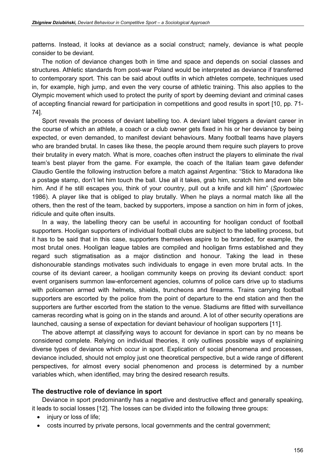patterns. Instead, it looks at deviance as a social construct; namely, deviance is what people consider to be deviant.

The notion of deviance changes both in time and space and depends on social classes and structures. Athletic standards from post-war Poland would be interpreted as deviance if transferred to contemporary sport. This can be said about outfits in which athletes compete, techniques used in, for example, high jump, and even the very course of athletic training. This also applies to the Olympic movement which used to protect the purity of sport by deeming deviant and criminal cases of accepting financial reward for participation in competitions and good results in sport [10, pp. 71- 74].

Sport reveals the process of deviant labelling too. A deviant label triggers a deviant career in the course of which an athlete, a coach or a club owner gets fixed in his or her deviance by being expected, or even demanded, to manifest deviant behaviours. Many football teams have players who are branded brutal. In cases like these, the people around them require such players to prove their brutality in every match. What is more, coaches often instruct the players to eliminate the rival team's best player from the game. For example, the coach of the Italian team gave defender Claudio Gentile the following instruction before a match against Argentina: "Stick to Maradona like a postage stamp, don't let him touch the ball. Use all it takes, grab him, scratch him and even bite him. And if he still escapes you, think of your country, pull out a knife and kill him" (Sportowiec 1986). A player like that is obliged to play brutally. When he plays a normal match like all the others, then the rest of the team, backed by supporters, impose a sanction on him in form of jokes, ridicule and quite often insults.

In a way, the labelling theory can be useful in accounting for hooligan conduct of football supporters. Hooligan supporters of individual football clubs are subject to the labelling process, but it has to be said that in this case, supporters themselves aspire to be branded, for example, the most brutal ones. Hooligan league tables are compiled and hooligan firms established and they regard such stigmatisation as a major distinction and honour. Taking the lead in these dishonourable standings motivates such individuals to engage in even more brutal acts. In the course of its deviant career, a hooligan community keeps on proving its deviant conduct: sport event organisers summon law-enforcement agencies, columns of police cars drive up to stadiums with policemen armed with helmets, shields, truncheons and firearms. Trains carrying football supporters are escorted by the police from the point of departure to the end station and then the supporters are further escorted from the station to the venue. Stadiums are fitted with surveillance cameras recording what is going on in the stands and around. A lot of other security operations are launched, causing a sense of expectation for deviant behaviour of hooligan supporters [11].

The above attempt at classifying ways to account for deviance in sport can by no means be considered complete. Relying on individual theories, it only outlines possible ways of explaining diverse types of deviance which occur in sport. Explication of social phenomena and processes, deviance included, should not employ just one theoretical perspective, but a wide range of different perspectives, for almost every social phenomenon and process is determined by a number variables which, when identified, may bring the desired research results.

## The destructive role of deviance in sport

Deviance in sport predominantly has a negative and destructive effect and generally speaking, it leads to social losses [12]. The losses can be divided into the following three groups:

- injury or loss of life;
- costs incurred by private persons, local governments and the central government;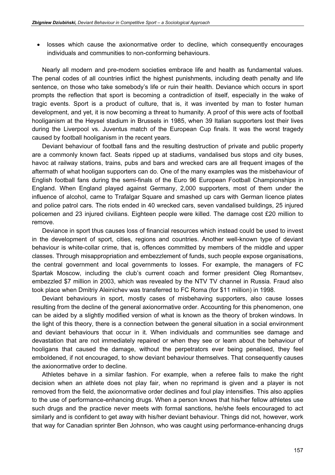losses which cause the axionormative order to decline, which consequently encourages individuals and communities to non-conforming behaviours.

Nearly all modern and pre-modern societies embrace life and health as fundamental values. The penal codes of all countries inflict the highest punishments, including death penalty and life sentence, on those who take somebody's life or ruin their health. Deviance which occurs in sport prompts the reflection that sport is becoming a contradiction of itself, especially in the wake of tragic events. Sport is a product of culture, that is, it was invented by man to foster human development, and yet, it is now becoming a threat to humanity. A proof of this were acts of football hooliganism at the Heysel stadium in Brussels in 1985, when 39 Italian supporters lost their lives during the Liverpool vs. Juventus match of the European Cup finals. It was the worst tragedy caused by football hooliganism in the recent years.

Deviant behaviour of football fans and the resulting destruction of private and public property are a commonly known fact. Seats ripped up at stadiums, vandalised bus stops and city buses, havoc at railway stations, trains, pubs and bars and wrecked cars are all frequent images of the aftermath of what hooligan supporters can do. One of the many examples was the misbehaviour of English football fans during the semi-finals of the Euro 96 European Football Championships in England. When England played against Germany, 2,000 supporters, most of them under the influence of alcohol, came to Trafalgar Square and smashed up cars with German licence plates and police patrol cars. The riots ended in 40 wrecked cars, seven vandalised buildings, 25 injured policemen and 23 injured civilians. Eighteen people were killed. The damage cost £20 million to remove.

Deviance in sport thus causes loss of financial resources which instead could be used to invest in the development of sport, cities, regions and countries. Another well-known type of deviant behaviour is white-collar crime, that is, offences committed by members of the middle and upper classes. Through misappropriation and embezzlement of funds, such people expose organisations, the central government and local governments to losses. For example, the managers of FC Spartak Moscow, including the club's current coach and former president Oleg Romantsev, embezzled \$7 million in 2003, which was revealed by the NTV TV channel in Russia. Fraud also took place when Dmitriy Aleinichev was transferred to FC Roma (for \$11 million) in 1998.

Deviant behaviours in sport, mostly cases of misbehaving supporters, also cause losses resulting from the decline of the general axionormative order. Accounting for this phenomenon, one can be aided by a slightly modified version of what is known as the theory of broken windows. In the light of this theory, there is a connection between the general situation in a social environment and deviant behaviours that occur in it. When individuals and communities see damage and devastation that are not immediately repaired or when they see or learn about the behaviour of hooligans that caused the damage, without the perpetrators ever being penalised, they feel emboldened, if not encouraged, to show deviant behaviour themselves. That consequently causes the axionormative order to decline.

Athletes behave in a similar fashion. For example, when a referee fails to make the right decision when an athlete does not play fair, when no reprimand is given and a player is not removed from the field, the axionormative order declines and foul play intensifies. This also applies to the use of performance-enhancing drugs. When a person knows that his/her fellow athletes use such drugs and the practice never meets with formal sanctions, he/she feels encouraged to act similarly and is confident to get away with his/her deviant behaviour. Things did not, however, work that way for Canadian sprinter Ben Johnson, who was caught using performance-enhancing drugs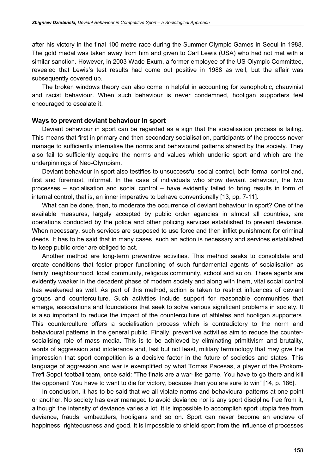after his victory in the final 100 metre race during the Summer Olympic Games in Seoul in 1988. The gold medal was taken away from him and given to Carl Lewis (USA) who had not met with a similar sanction. However, in 2003 Wade Exum, a former employee of the US Olympic Committee, revealed that Lewis's test results had come out positive in 1988 as well, but the affair was subsequently covered up.

The broken windows theory can also come in helpful in accounting for xenophobic, chauvinist and racist behaviour. When such behaviour is never condemned, hooligan supporters feel encouraged to escalate it.

### Ways to prevent deviant behaviour in sport

Deviant behaviour in sport can be regarded as a sign that the socialisation process is failing. This means that first in primary and then secondary socialisation, participants of the process never manage to sufficiently internalise the norms and behavioural patterns shared by the society. They also fail to sufficiently acquire the norms and values which underlie sport and which are the underpinnings of Neo-Olympism.

Deviant behaviour in sport also testifies to unsuccessful social control, both formal control and, first and foremost, informal. In the case of individuals who show deviant behaviour, the two processes – socialisation and social control – have evidently failed to bring results in form of internal control, that is, an inner imperative to behave conventionally [13, pp. 7-11].

What can be done, then, to moderate the occurrence of deviant behaviour in sport? One of the available measures, largely accepted by public order agencies in almost all countries, are operations conducted by the police and other policing services established to prevent deviance. When necessary, such services are supposed to use force and then inflict punishment for criminal deeds. It has to be said that in many cases, such an action is necessary and services established to keep public order are obliged to act.

Another method are long-term preventive activities. This method seeks to consolidate and create conditions that foster proper functioning of such fundamental agents of socialisation as family, neighbourhood, local community, religious community, school and so on. These agents are evidently weaker in the decadent phase of modern society and along with them, vital social control has weakened as well. As part of this method, action is taken to restrict influences of deviant groups and counterculture. Such activities include support for reasonable communities that emerge, associations and foundations that seek to solve various significant problems in society. It is also important to reduce the impact of the counterculture of athletes and hooligan supporters. This counterculture offers a socialisation process which is contradictory to the norm and behavioural patterns in the general public. Finally, preventive activities aim to reduce the countersocialising role of mass media. This is to be achieved by eliminating primitivism and brutality, words of aggression and intolerance and, last but not least, military terminology that may give the impression that sport competition is a decisive factor in the future of societies and states. This language of aggression and war is exemplified by what Tomas Pacesas, a player of the Prokom-Trefl Sopot football team, once said: "The finals are a war-like game. You have to go there and kill the opponent! You have to want to die for victory, because then you are sure to win" [14, p. 186].

In conclusion, it has to be said that we all violate norms and behavioural patterns at one point or another. No society has ever managed to avoid deviance nor is any sport discipline free from it, although the intensity of deviance varies a lot. It is impossible to accomplish sport utopia free from deviance, frauds, embezzlers, hooligans and so on. Sport can never become an enclave of happiness, righteousness and good. It is impossible to shield sport from the influence of processes